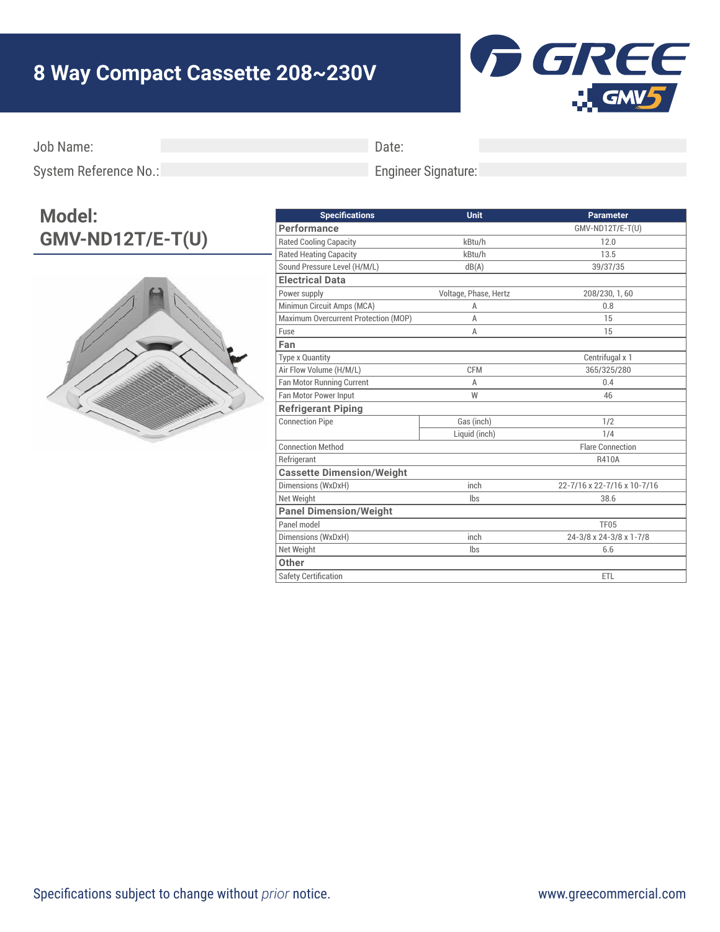## **8 Way Compact Cassette 208~230V**



Job Name:

Date:

System Reference No.:

## Engineer Signature:

## **Model: GMV-ND12T/E-T(U)**



| <b>Specifications</b>                | <b>Unit</b>           | <b>Parameter</b>            |
|--------------------------------------|-----------------------|-----------------------------|
| Performance                          |                       | GMV-ND12T/E-T(U)            |
| <b>Rated Cooling Capacity</b>        | kBtu/h                | 12.0                        |
| <b>Rated Heating Capacity</b>        | kBtu/h                | 13.5                        |
| Sound Pressure Level (H/M/L)         | dB(A)                 | 39/37/35                    |
| <b>Electrical Data</b>               |                       |                             |
| Power supply                         | Voltage, Phase, Hertz | 208/230, 1, 60              |
| Minimun Circuit Amps (MCA)           | A                     | 0.8                         |
| Maximum Overcurrent Protection (MOP) | А                     | 15                          |
| Fuse                                 | Α                     | 15                          |
| Fan                                  |                       |                             |
| <b>Type x Quantity</b>               |                       | Centrifugal x 1             |
| Air Flow Volume (H/M/L)              | <b>CFM</b>            | 365/325/280                 |
| Fan Motor Running Current            | A                     | 0.4                         |
| Fan Motor Power Input                | W                     | 46                          |
| <b>Refrigerant Piping</b>            |                       |                             |
| <b>Connection Pipe</b>               | Gas (inch)            | 1/2                         |
|                                      | Liquid (inch)         | 1/4                         |
| <b>Connection Method</b>             |                       | <b>Flare Connection</b>     |
| Refrigerant                          |                       | R410A                       |
| <b>Cassette Dimension/Weight</b>     |                       |                             |
| Dimensions (WxDxH)                   | inch                  | 22-7/16 x 22-7/16 x 10-7/16 |
| Net Weight                           | lbs                   | 38.6                        |
| <b>Panel Dimension/Weight</b>        |                       |                             |
| Panel model                          |                       | <b>TF05</b>                 |
| Dimensions (WxDxH)                   | inch                  | 24-3/8 x 24-3/8 x 1-7/8     |
| Net Weight                           | lbs                   | 6.6                         |
| Other                                |                       |                             |
| <b>Safety Certification</b>          |                       | ETL                         |
|                                      |                       |                             |